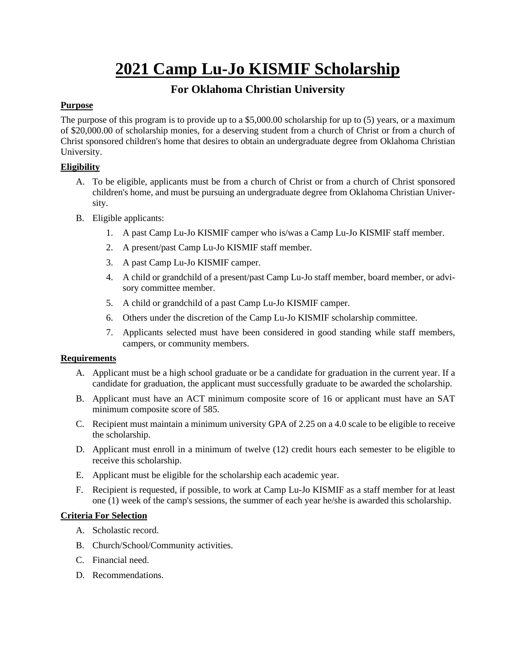### **For Oklahoma Christian University**

#### **Purpose**

The purpose of this program is to provide up to a \$5,000.00 scholarship for up to (5) years, or a maximum of \$20,000.00 of scholarship monies, for a deserving student from a church of Christ or from a church of Christ sponsored children's home that desires to obtain an undergraduate degree from Oklahoma Christian University.

#### **Eligibility**

- A. To be eligible, applicants must be from a church of Christ or from a church of Christ sponsored children's home, and must be pursuing an undergraduate degree from Oklahoma Christian University.
- B. Eligible applicants:
	- 1. A past Camp Lu-Jo KISMIF camper who is/was a Camp Lu-Jo KISMIF staff member.
	- 2. A present/past Camp Lu-Jo KISMIF staff member.
	- 3. A past Camp Lu-Jo KISMIF camper.
	- 4. A child or grandchild of a present/past Camp Lu-Jo staff member, board member, or advisory committee member.
	- 5. A child or grandchild of a past Camp Lu-Jo KISMIF camper.
	- 6. Others under the discretion of the Camp Lu-Jo KISMIF scholarship committee.
	- 7. Applicants selected must have been considered in good standing while staff members, campers, or community members.

### **Requirements**

- A. Applicant must be a high school graduate or be a candidate for graduation in the current year. If a candidate for graduation, the applicant must successfully graduate to be awarded the scholarship.
- B. Applicant must have an ACT minimum composite score of 16 or applicant must have an SAT minimum composite score of 585.
- C. Recipient must maintain a minimum university GPA of 2.25 on a 4.0 scale to be eligible to receive the scholarship.
- D. Applicant must enroll in a minimum of twelve (12) credit hours each semester to be eligible to receive this scholarship.
- E. Applicant must be eligible for the scholarship each academic year.
- F. Recipient is requested, if possible, to work at Camp Lu-Jo KISMIF as a staff member for at least one (1) week of the camp's sessions, the summer of each year he/she is awarded this scholarship.

### **Criteria For Selection**

- A. Scholastic record.
- B. Church/School/Community activities.
- C. Financial need.
- D. Recommendations.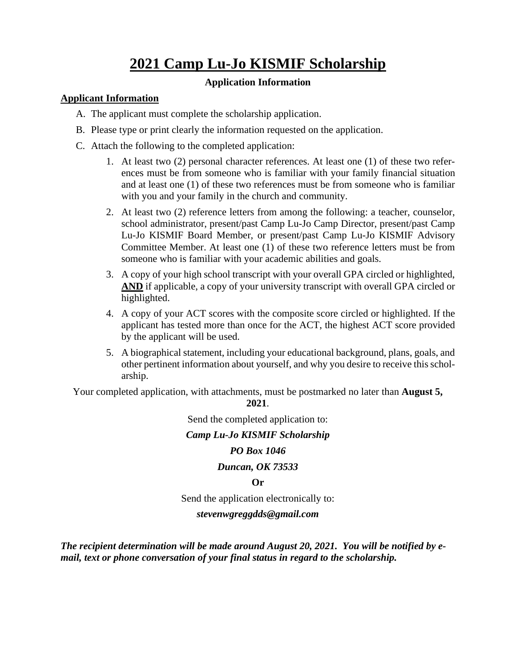#### **Application Information**

#### **Applicant Information**

- A. The applicant must complete the scholarship application.
- B. Please type or print clearly the information requested on the application.
- C. Attach the following to the completed application:
	- 1. At least two (2) personal character references. At least one (1) of these two references must be from someone who is familiar with your family financial situation and at least one (1) of these two references must be from someone who is familiar with you and your family in the church and community.
	- 2. At least two (2) reference letters from among the following: a teacher, counselor, school administrator, present/past Camp Lu-Jo Camp Director, present/past Camp Lu-Jo KISMIF Board Member, or present/past Camp Lu-Jo KISMIF Advisory Committee Member. At least one (1) of these two reference letters must be from someone who is familiar with your academic abilities and goals.
	- 3. A copy of your high school transcript with your overall GPA circled or highlighted, **AND** if applicable, a copy of your university transcript with overall GPA circled or highlighted.
	- 4. A copy of your ACT scores with the composite score circled or highlighted. If the applicant has tested more than once for the ACT, the highest ACT score provided by the applicant will be used.
	- 5. A biographical statement, including your educational background, plans, goals, and other pertinent information about yourself, and why you desire to receive thisscholarship.

Your completed application, with attachments, must be postmarked no later than **August 5,**

**2021**.

Send the completed application to:

#### *Camp Lu-Jo KISMIF Scholarship*

#### *PO Box 1046*

#### *Duncan, OK 73533*

#### **Or**

Send the application electronically to:

*stevenwgreggdds@gmail.com*

*The recipient determination will be made around August 20, 2021. You will be notified by email, text or phone conversation of your final status in regard to the scholarship.*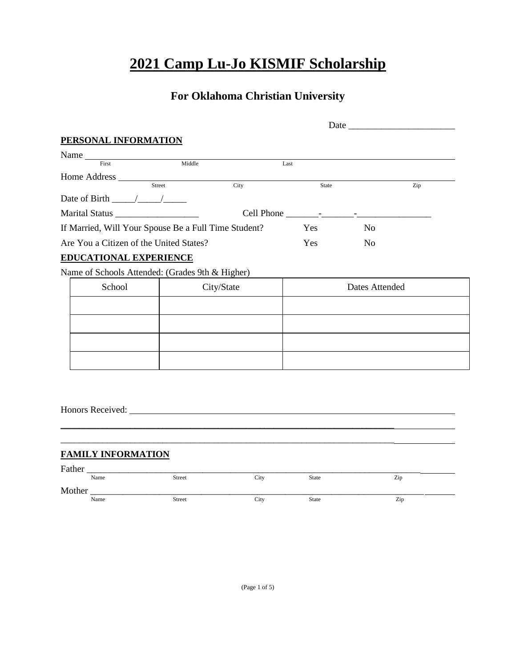### **For Oklahoma Christian University**

|                                                                                            | Date   |      |              |                |     |
|--------------------------------------------------------------------------------------------|--------|------|--------------|----------------|-----|
| PERSONAL INFORMATION                                                                       |        |      |              |                |     |
|                                                                                            |        |      |              |                |     |
| First                                                                                      | Middle |      | Last         |                |     |
| <b>Home Address</b>                                                                        |        |      |              |                |     |
|                                                                                            | Street | City | <b>State</b> |                | Zip |
| Date of Birth $\frac{1}{\sqrt{1-\frac{1}{2}}}\left  \frac{1}{\sqrt{1-\frac{1}{2}}}\right $ |        |      |              |                |     |
| <b>Marital Status</b>                                                                      |        |      |              |                |     |
| If Married, Will Your Spouse Be a Full Time Student?                                       |        |      | Yes          | N <sub>0</sub> |     |
| Are You a Citizen of the United States?                                                    |        |      | Yes          | N <sub>0</sub> |     |
| <b>EDUCATIONAL EXPERIENCE</b>                                                              |        |      |              |                |     |

Name of Schools Attended: (Grades 9th & Higher)

| School | City/State | Dates Attended |
|--------|------------|----------------|
|        |            |                |
|        |            |                |
|        |            |                |
|        |            |                |

Honors Received:

| <b>FAMILY INFORMATION</b> |        |      |       |     |  |
|---------------------------|--------|------|-------|-----|--|
| Father<br>Name            | Street | City | State | Zip |  |
| Mother                    |        |      |       |     |  |
| Name                      | Street | City | State | Zip |  |

\_\_\_\_\_\_\_\_\_\_\_\_\_\_\_\_\_\_\_\_\_\_\_\_\_\_\_\_\_\_\_\_\_\_\_\_\_\_\_\_\_\_\_\_\_\_\_\_\_\_\_\_\_\_\_\_\_\_\_\_\_\_\_\_\_\_\_\_\_\_\_\_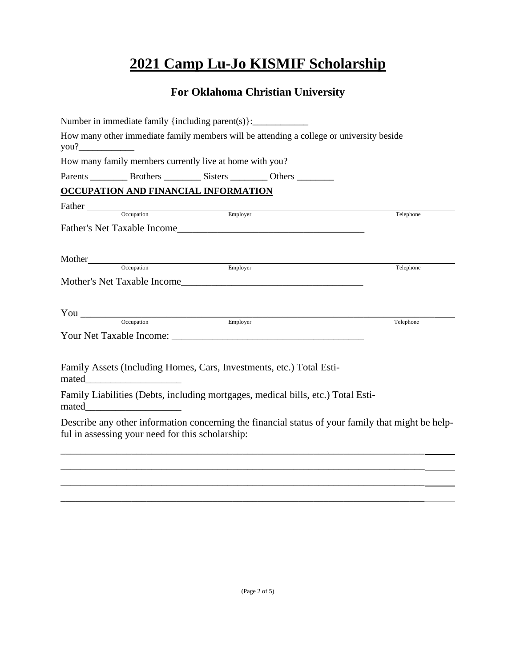## **For Oklahoma Christian University**

| Number in immediate family {including parent(s)}: ______________________________ |          |                                                                                          |                                                                                                   |
|----------------------------------------------------------------------------------|----------|------------------------------------------------------------------------------------------|---------------------------------------------------------------------------------------------------|
|                                                                                  |          | How many other immediate family members will be attending a college or university beside |                                                                                                   |
| How many family members currently live at home with you?                         |          |                                                                                          |                                                                                                   |
|                                                                                  |          |                                                                                          |                                                                                                   |
| <b>OCCUPATION AND FINANCIAL INFORMATION</b>                                      |          |                                                                                          |                                                                                                   |
| Father Cocupation Employer                                                       |          |                                                                                          | Telephone                                                                                         |
|                                                                                  |          |                                                                                          |                                                                                                   |
|                                                                                  |          |                                                                                          |                                                                                                   |
|                                                                                  |          |                                                                                          |                                                                                                   |
|                                                                                  |          |                                                                                          | Telephone                                                                                         |
|                                                                                  |          |                                                                                          |                                                                                                   |
|                                                                                  |          |                                                                                          |                                                                                                   |
|                                                                                  |          |                                                                                          |                                                                                                   |
| You <u>compation</u>                                                             | Employer |                                                                                          | Telephone                                                                                         |
|                                                                                  |          |                                                                                          |                                                                                                   |
|                                                                                  |          |                                                                                          |                                                                                                   |
|                                                                                  |          | Family Assets (Including Homes, Cars, Investments, etc.) Total Esti-                     |                                                                                                   |
|                                                                                  |          | Family Liabilities (Debts, including mortgages, medical bills, etc.) Total Esti-         |                                                                                                   |
| ful in assessing your need for this scholarship:                                 |          |                                                                                          | Describe any other information concerning the financial status of your family that might be help- |
|                                                                                  |          |                                                                                          |                                                                                                   |
|                                                                                  |          |                                                                                          |                                                                                                   |

\_\_\_\_\_\_\_\_\_\_\_\_\_\_\_\_\_\_\_\_\_\_\_\_\_\_\_\_\_\_\_\_\_\_\_\_\_\_\_\_\_\_\_\_\_\_\_\_\_\_\_\_\_\_\_\_\_\_\_\_\_\_\_\_\_\_\_\_\_\_\_\_ \_\_\_\_\_\_\_\_\_\_\_\_\_\_\_\_\_\_\_\_\_\_\_\_\_\_\_\_\_\_\_\_\_\_\_\_\_\_\_\_\_\_\_\_\_\_\_\_\_\_\_\_\_\_\_\_\_\_\_\_\_\_\_\_\_\_\_\_\_\_\_\_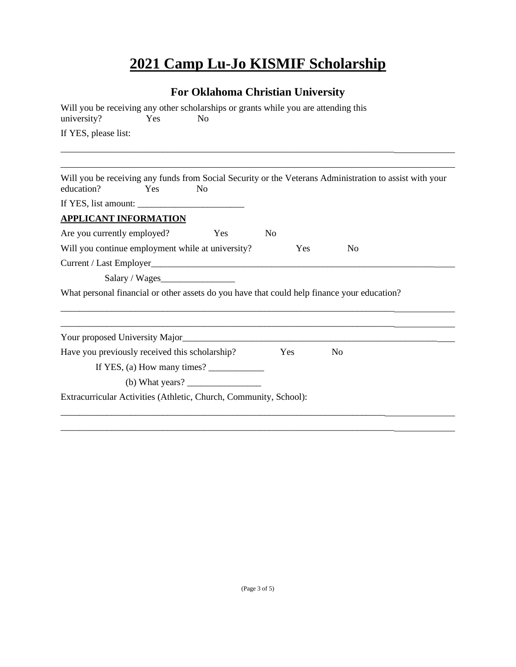## **For Oklahoma Christian University**

| Will you be receiving any other scholarships or grants while you are attending this<br>university?                    | Yes | N <sub>0</sub>                                                                                                                                                                                                                                                                                                                                                                                               |                |     |                |  |
|-----------------------------------------------------------------------------------------------------------------------|-----|--------------------------------------------------------------------------------------------------------------------------------------------------------------------------------------------------------------------------------------------------------------------------------------------------------------------------------------------------------------------------------------------------------------|----------------|-----|----------------|--|
| If YES, please list:                                                                                                  |     |                                                                                                                                                                                                                                                                                                                                                                                                              |                |     |                |  |
|                                                                                                                       |     |                                                                                                                                                                                                                                                                                                                                                                                                              |                |     |                |  |
| Will you be receiving any funds from Social Security or the Veterans Administration to assist with your<br>education? | Yes | N <sub>0</sub>                                                                                                                                                                                                                                                                                                                                                                                               |                |     |                |  |
|                                                                                                                       |     |                                                                                                                                                                                                                                                                                                                                                                                                              |                |     |                |  |
| <b>APPLICANT INFORMATION</b>                                                                                          |     |                                                                                                                                                                                                                                                                                                                                                                                                              |                |     |                |  |
| Are you currently employed?                                                                                           |     | Yes                                                                                                                                                                                                                                                                                                                                                                                                          | N <sub>0</sub> |     |                |  |
| Will you continue employment while at university?                                                                     |     |                                                                                                                                                                                                                                                                                                                                                                                                              |                | Yes | N <sub>0</sub> |  |
|                                                                                                                       |     |                                                                                                                                                                                                                                                                                                                                                                                                              |                |     |                |  |
|                                                                                                                       |     |                                                                                                                                                                                                                                                                                                                                                                                                              |                |     |                |  |
| What personal financial or other assets do you have that could help finance your education?                           |     |                                                                                                                                                                                                                                                                                                                                                                                                              |                |     |                |  |
|                                                                                                                       |     |                                                                                                                                                                                                                                                                                                                                                                                                              |                |     |                |  |
|                                                                                                                       |     |                                                                                                                                                                                                                                                                                                                                                                                                              |                |     |                |  |
|                                                                                                                       |     |                                                                                                                                                                                                                                                                                                                                                                                                              |                |     |                |  |
| Have you previously received this scholarship?                                                                        |     |                                                                                                                                                                                                                                                                                                                                                                                                              | Yes            |     | N <sub>0</sub> |  |
|                                                                                                                       |     | If YES, (a) How many times? $\frac{1}{\sqrt{1 - \frac{1}{\sqrt{1 - \frac{1}{\sqrt{1 - \frac{1}{\sqrt{1 - \frac{1}{\sqrt{1 - \frac{1}{\sqrt{1 - \frac{1}{\sqrt{1 - \frac{1}{\sqrt{1 - \frac{1}{\sqrt{1 - \frac{1}{\sqrt{1 - \frac{1}{\sqrt{1 - \frac{1}{\sqrt{1 - \frac{1}{\sqrt{1 - \frac{1}{\sqrt{1 - \frac{1}{\sqrt{1 - \frac{1}{\sqrt{1 - \frac{1}{\sqrt{1 - \frac{1}{\sqrt{1 - \frac{1}{\sqrt{1 - \frac$ |                |     |                |  |
|                                                                                                                       |     | (b) What years? $\frac{1}{\sqrt{1-\frac{1}{2}}}\left\{ \frac{1}{2}, \frac{1}{2}, \frac{1}{2}, \frac{1}{2}\right\}$                                                                                                                                                                                                                                                                                           |                |     |                |  |
| Extracurricular Activities (Athletic, Church, Community, School):                                                     |     |                                                                                                                                                                                                                                                                                                                                                                                                              |                |     |                |  |

\_\_\_\_\_\_\_\_\_\_\_\_\_\_\_\_\_\_\_\_\_\_\_\_\_\_\_\_\_\_\_\_\_\_\_\_\_\_\_\_\_\_\_\_\_\_\_\_\_\_\_\_\_\_\_\_\_\_\_\_\_\_\_\_\_\_\_\_\_\_\_\_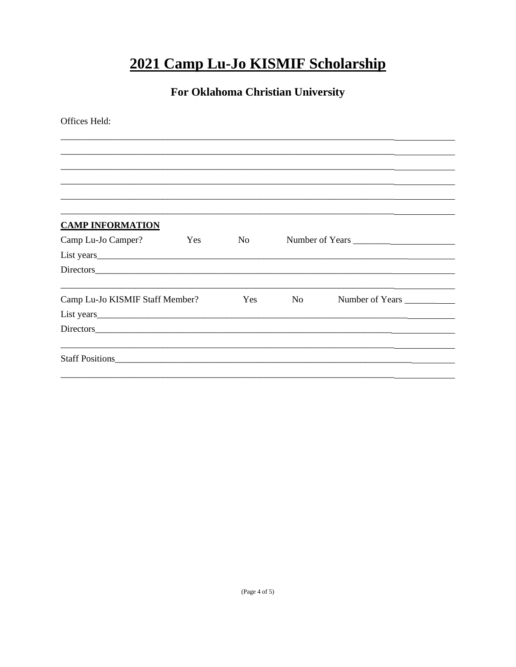## For Oklahoma Christian University

| Offices Held:                   |     |                |                 |  |
|---------------------------------|-----|----------------|-----------------|--|
|                                 |     |                |                 |  |
|                                 |     |                |                 |  |
|                                 |     |                |                 |  |
|                                 |     |                |                 |  |
|                                 |     |                |                 |  |
| <b>CAMP INFORMATION</b>         |     |                |                 |  |
| Camp Lu-Jo Camper?              | Yes | N <sub>0</sub> | Number of Years |  |
|                                 |     |                |                 |  |
|                                 |     |                |                 |  |
| Camp Lu-Jo KISMIF Staff Member? |     | <b>Yes</b>     | N <sub>0</sub>  |  |
|                                 |     |                |                 |  |
|                                 |     |                |                 |  |
| Staff Positions                 |     |                |                 |  |